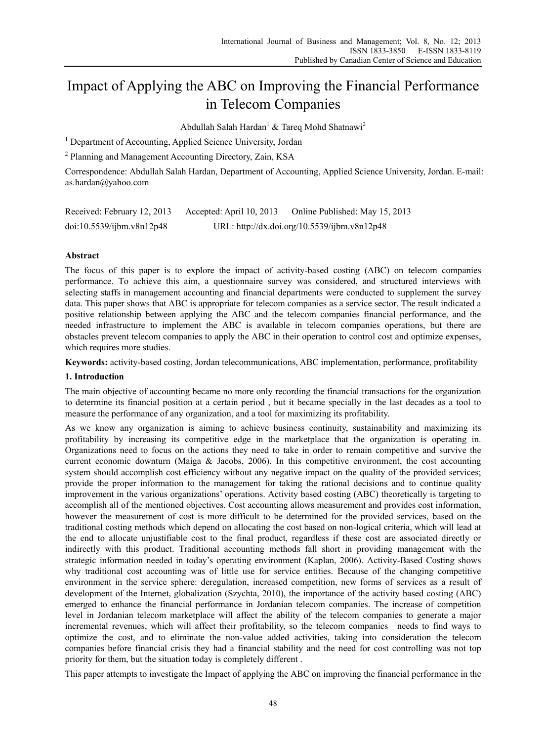# Impact of Applying the ABC on Improving the Financial Performance in Telecom Companies

Abdullah Salah Hardan<sup>1</sup> & Tareq Mohd Shatnawi<sup>2</sup>

<sup>1</sup> Department of Accounting, Applied Science University, Jordan

<sup>2</sup> Planning and Management Accounting Directory, Zain, KSA

Correspondence: Abdullah Salah Hardan, Department of Accounting, Applied Science University, Jordan. E-mail: as.hardan@yahoo.com

| Received: February 12, 2013 | Accepted: April 10, 2013 | Online Published: May 15, 2013               |
|-----------------------------|--------------------------|----------------------------------------------|
| doi:10.5539/ijbm.v8n12p48   |                          | URL: http://dx.doi.org/10.5539/ijbm.v8n12p48 |

# **Abstract**

The focus of this paper is to explore the impact of activity-based costing (ABC) on telecom companies performance. To achieve this aim, a questionnaire survey was considered, and structured interviews with selecting staffs in management accounting and financial departments were conducted to supplement the survey data. This paper shows that ABC is appropriate for telecom companies as a service sector. The result indicated a positive relationship between applying the ABC and the telecom companies financial performance, and the needed infrastructure to implement the ABC is available in telecom companies operations, but there are obstacles prevent telecom companies to apply the ABC in their operation to control cost and optimize expenses, which requires more studies.

**Keywords:** activity-based costing, Jordan telecommunications, ABC implementation, performance, profitability

## **1. Introduction**

The main objective of accounting became no more only recording the financial transactions for the organization to determine its financial position at a certain period , but it became specially in the last decades as a tool to measure the performance of any organization, and a tool for maximizing its profitability.

As we know any organization is aiming to achieve business continuity, sustainability and maximizing its profitability by increasing its competitive edge in the marketplace that the organization is operating in. Organizations need to focus on the actions they need to take in order to remain competitive and survive the current economic downturn (Maiga & Jacobs, 2006). In this competitive environment, the cost accounting system should accomplish cost efficiency without any negative impact on the quality of the provided services; provide the proper information to the management for taking the rational decisions and to continue quality improvement in the various organizations' operations. Activity based costing (ABC) theoretically is targeting to accomplish all of the mentioned objectives. Cost accounting allows measurement and provides cost information, however the measurement of cost is more difficult to be determined for the provided services, based on the traditional costing methods which depend on allocating the cost based on non-logical criteria, which will lead at the end to allocate unjustifiable cost to the final product, regardless if these cost are associated directly or indirectly with this product. Traditional accounting methods fall short in providing management with the strategic information needed in today's operating environment (Kaplan, 2006). Activity-Based Costing shows why traditional cost accounting was of little use for service entities. Because of the changing competitive environment in the service sphere: deregulation, increased competition, new forms of services as a result of development of the Internet, globalization (Szychta, 2010), the importance of the activity based costing (ABC) emerged to enhance the financial performance in Jordanian telecom companies. The increase of competition level in Jordanian telecom marketplace will affect the ability of the telecom companies to generate a major incremental revenues, which will affect their profitability, so the telecom companies needs to find ways to optimize the cost, and to eliminate the non-value added activities, taking into consideration the telecom companies before financial crisis they had a financial stability and the need for cost controlling was not top priority for them, but the situation today is completely different .

This paper attempts to investigate the Impact of applying the ABC on improving the financial performance in the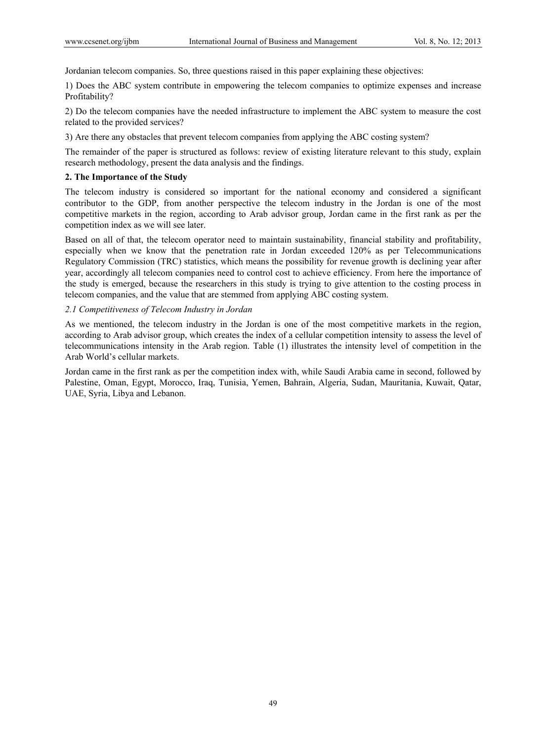Jordanian telecom companies. So, three questions raised in this paper explaining these objectives:

1) Does the ABC system contribute in empowering the telecom companies to optimize expenses and increase Profitability?

2) Do the telecom companies have the needed infrastructure to implement the ABC system to measure the cost related to the provided services?

3) Are there any obstacles that prevent telecom companies from applying the ABC costing system?

The remainder of the paper is structured as follows: review of existing literature relevant to this study, explain research methodology, present the data analysis and the findings.

#### **2. The Importance of the Study**

The telecom industry is considered so important for the national economy and considered a significant contributor to the GDP, from another perspective the telecom industry in the Jordan is one of the most competitive markets in the region, according to Arab advisor group, Jordan came in the first rank as per the competition index as we will see later.

Based on all of that, the telecom operator need to maintain sustainability, financial stability and profitability, especially when we know that the penetration rate in Jordan exceeded 120% as per Telecommunications Regulatory Commission (TRC) statistics, which means the possibility for revenue growth is declining year after year, accordingly all telecom companies need to control cost to achieve efficiency. From here the importance of the study is emerged, because the researchers in this study is trying to give attention to the costing process in telecom companies, and the value that are stemmed from applying ABC costing system.

## *2.1 Competitiveness of Telecom Industry in Jordan*

As we mentioned, the telecom industry in the Jordan is one of the most competitive markets in the region, according to Arab advisor group, which creates the index of a cellular competition intensity to assess the level of telecommunications intensity in the Arab region. Table (1) illustrates the intensity level of competition in the Arab World's cellular markets.

Jordan came in the first rank as per the competition index with, while Saudi Arabia came in second, followed by Palestine, Oman, Egypt, Morocco, Iraq, Tunisia, Yemen, Bahrain, Algeria, Sudan, Mauritania, Kuwait, Qatar, UAE, Syria, Libya and Lebanon.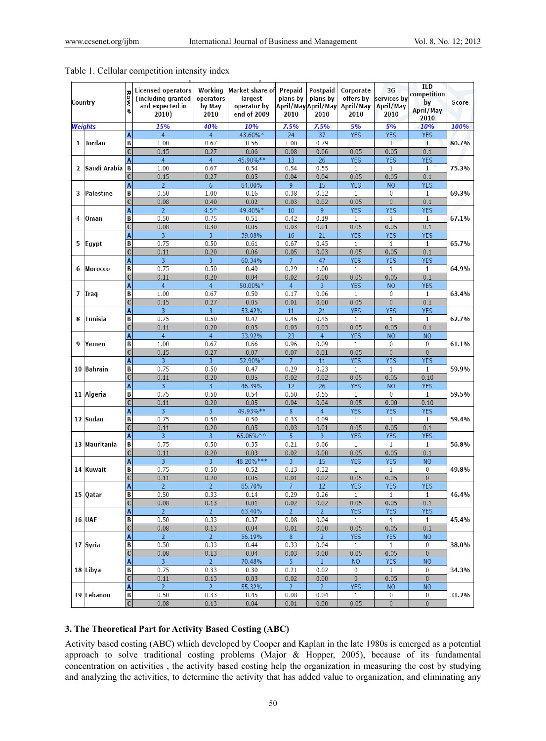| Country           |                | Row<br>#                | Licensed operators<br>(including granted<br>and expected in<br>2010) | Working<br>operators<br>by May<br>2010 | Market share of<br>largest<br>operator by<br>end of 2009 | Prepaid<br>plans by<br>April/MayApril/May<br>2010 | Postpaid<br>plans by<br>2010 | Corporate<br>offers by<br>April/May<br>2010 | 3G<br>services by<br>April/May<br>2010 | ILD<br>competition<br>by<br>April/May<br>2010 | Score |
|-------------------|----------------|-------------------------|----------------------------------------------------------------------|----------------------------------------|----------------------------------------------------------|---------------------------------------------------|------------------------------|---------------------------------------------|----------------------------------------|-----------------------------------------------|-------|
|                   | <b>Weights</b> |                         | 15%                                                                  | 40%                                    | 10%                                                      | 7.5%                                              | 7.5%                         | 5%                                          | 5%                                     | 10%                                           | 100%  |
|                   |                | A                       | $\overline{4}$                                                       | $\overline{4}$                         | 43.60%*                                                  | 24                                                | 37                           | <b>YES</b>                                  | <b>YES</b>                             | <b>YES</b>                                    |       |
|                   | 1 Jordan       | B                       | 1.00                                                                 | 0.67                                   | 0.56                                                     | 1.00                                              | 0.79                         | 1                                           | $\mathbf{1}$                           | $\mathbf{1}$                                  | 80.7% |
|                   |                | $\mathbf{C}$            | 0.15                                                                 | 0.27                                   | 0.06                                                     | 0.08                                              | 0.06                         | 0.05                                        | 0.05                                   | 0.1                                           |       |
|                   |                | A                       | $\overline{4}$                                                       | $\overline{4}$                         | 45.90%**                                                 | 13                                                | 26                           | <b>YES</b>                                  | <b>YES</b>                             | <b>YES</b>                                    |       |
| Saudi Arabia<br>2 | B              | 1.00                    | 0.67                                                                 | 0.54                                   | 0.54                                                     | 0.55                                              | $\mathbf{1}$                 | $\mathbf{1}$                                | $\mathbf{1}$                           | 75.3%                                         |       |
|                   | C              | 0.15                    | 0.27                                                                 | 0.05                                   | 0.04                                                     | 0.04                                              | 0.05                         | 0.05                                        | 0.1                                    |                                               |       |
|                   |                | A                       | $\overline{2}$                                                       | 6                                      | 84.00%                                                   | $\overline{9}$                                    | 15                           | <b>YES</b>                                  | <b>NO</b>                              | <b>YES</b>                                    |       |
| 3                 | Palestine      | B                       | 0.50                                                                 | 1.00                                   | 0.16                                                     | 0.38                                              | 0.32                         | 1                                           | $\mathbf 0$                            | 1                                             | 69.3% |
|                   |                | $\overline{C}$          | 0.08                                                                 | 0.40                                   | 0.02                                                     | 0.03                                              | 0.02                         | 0.05                                        | $\mathbf 0$                            | 0.1                                           |       |
|                   |                | A                       | $\overline{2}$                                                       | $4.5^{\circ}$                          | 49.40%*                                                  | 10                                                | $\overline{9}$               | <b>YES</b>                                  | <b>YES</b>                             | <b>YES</b>                                    |       |
| 4                 | Oman           | B                       | 0.50                                                                 | 0.75                                   | 0.51                                                     | 0.42                                              | 0.19                         | $\mathbf{1}$                                | $\mathbf{1}$                           | 1                                             | 67.1% |
|                   |                | $\mathbf{C}$            | 0.08                                                                 | 0.30                                   | 0.05                                                     | 0.03                                              | 0.01                         | 0.05                                        | 0.05                                   | 0.1                                           |       |
|                   |                | A                       | 3                                                                    | 3                                      | 39.08%                                                   | 16                                                | 21                           | <b>YES</b>                                  | <b>YES</b>                             | <b>YES</b>                                    |       |
| 5                 | Egypt          | B                       | 0.75                                                                 | 0.50                                   | 0.61                                                     | 0.67                                              | 0.45                         | 1                                           | $\mathbf{1}$                           | 1                                             | 65.7% |
|                   |                | $\mathbf{C}$            | 0.11                                                                 | 0.20                                   | 0.06                                                     | 0.05                                              | 0.03                         | 0.05                                        | 0.05                                   | 0.1                                           |       |
|                   |                | A                       | 3                                                                    | 3                                      | 60.34%                                                   | $7\overline{ }$                                   | 47                           | <b>YES</b>                                  | <b>YES</b>                             | <b>YES</b>                                    |       |
| 6                 | <b>Morocco</b> | B                       | 0.75                                                                 | 0.50                                   | 0.40                                                     | 0.29                                              | 1.00                         | $\mathbf{1}$                                | $\mathbf{1}$                           | $\mathbf{1}$                                  | 64.9% |
|                   |                | $\mathbf{C}$            | 0.11                                                                 | 0.20                                   | 0.04                                                     | 0.02                                              | 0.08                         | 0.05                                        | 0.05                                   | 0.1                                           |       |
|                   |                | A                       | $\overline{4}$                                                       | $\overline{4}$                         | 50.00%*                                                  | $\overline{4}$                                    | 3                            | <b>YES</b>                                  | <b>NO</b>                              | <b>YES</b>                                    |       |
|                   | 7 Iraq         | B                       | 1.00                                                                 | 0.67                                   | 0.50                                                     | 0.17                                              | 0.06                         | 1                                           | 0                                      | 1                                             | 63.4% |
|                   |                | $\mathbf{C}$            | 0.15                                                                 | 0.27                                   | 0.05                                                     | 0.01                                              | 0.00                         | 0.05                                        | $\mathbf{0}$                           | 0.1                                           |       |
|                   |                | A                       | 3                                                                    | 3                                      | 53.42%                                                   | 11                                                | 21                           | <b>YES</b>                                  | <b>YES</b>                             | <b>YES</b>                                    |       |
| 8                 | Tunisia        | B                       | 0.75                                                                 | 0.50                                   | 0.47                                                     | 0.46                                              | 0.45                         | 1                                           | 1                                      | 1                                             | 62.7% |
|                   |                | $\mathbf{C}$            | 0.11                                                                 | 0.20                                   | 0.05                                                     | 0.03                                              | 0.03                         | 0.05                                        | 0.05                                   | 0.1                                           |       |
|                   |                | A                       | $\overline{4}$                                                       | $\overline{4}$                         | 33.92%                                                   | 23                                                | $\overline{4}$               | <b>YES</b>                                  | <b>NO</b>                              | <b>NO</b>                                     |       |
| 9                 | Yemen          | B                       | 1.00                                                                 | 0.67                                   | 0.66                                                     | 0.96                                              | 0.09                         | $\mathbf{1}$                                | 0                                      | 0                                             | 61.1% |
|                   |                | $\mathbf{C}$            | 0.15                                                                 | 0.27                                   | 0.07                                                     | 0.07                                              | 0.01                         | 0.05                                        | $\mathbf{0}$                           | $\overline{0}$                                |       |
|                   |                | A                       | 3                                                                    | 3                                      | 52.90%*                                                  | $\overline{7}$                                    | 11                           | <b>YES</b>                                  | <b>YES</b>                             | <b>YES</b>                                    |       |
|                   | 10 Bahrain     | B                       | 0.75                                                                 | 0.50                                   | 0.47                                                     | 0.29                                              | 0.23                         | $\mathbf{1}$                                | $\mathbf{1}$                           | $\mathbf{1}$                                  | 59.9% |
|                   |                | $\mathbf{C}$            | 0.11                                                                 | 0.20                                   | 0.05                                                     | 0.02                                              | 0.02                         | 0.05                                        | 0.05                                   | 0.10                                          |       |
|                   |                | A                       | 3                                                                    | 3                                      | 46.39%                                                   | 12                                                | 26                           | <b>YES</b>                                  | <b>NO</b>                              | <b>YES</b>                                    |       |
|                   | 11 Algeria     | B                       | 0.75                                                                 | 0.50                                   | 0.54                                                     | 0.50                                              | 0.55                         | $\mathbf{1}$                                | $\mathbf{0}$                           | $\mathbf{1}$                                  | 59.5% |
|                   |                | $\mathbf{C}$            | 0.11                                                                 | 0.20                                   | 0.05                                                     | 0.04                                              | 0.04                         | 0.05                                        | 0.00                                   | 0.10                                          |       |
|                   |                | A                       | 3                                                                    | 3                                      | 49.93% **                                                | 8                                                 | $\overline{4}$               | <b>YES</b>                                  | <b>YES</b>                             | <b>YES</b>                                    |       |
|                   | 12 Sudan       | B                       | 0.75                                                                 | 0.50                                   | 0.50                                                     | 0.33                                              | 0.09                         | 1                                           | $\mathbf{1}$                           | 1                                             | 59.4% |
|                   |                | $\mathbf{C}$            | 0.11                                                                 | 0.20                                   | 0.05                                                     | 0.03                                              | 0.01                         | 0.05                                        | 0.05                                   | 0.1                                           |       |
|                   |                | A                       | 3                                                                    | 3                                      | 65.06%^^                                                 | 5                                                 | 3                            | <b>YES</b>                                  | <b>YES</b>                             | <b>YES</b>                                    |       |
|                   | 13 Mauritania  | B                       | 0.75                                                                 | 0.50                                   | 0.35                                                     | 0.21                                              | 0.06                         | $\mathbf{1}$                                | $\mathbf{1}$                           | $\mathbf{1}$                                  | 56.8% |
|                   |                | $\mathbf{C}$            | 0.11                                                                 | 0.20                                   | 0.03                                                     | 0.02                                              | 0.00                         | 0.05                                        | 0.05                                   | 0.1                                           |       |
|                   |                | A                       | 3                                                                    | 3                                      | 48.20% ***                                               | 3                                                 | 15                           | <b>YES</b>                                  | <b>YES</b>                             | <b>NO</b>                                     |       |
|                   | 14 Kuwait      | B                       | 0.75                                                                 | 0.50                                   | 0.52                                                     | 0.13                                              | 0.32                         | 1                                           | 1                                      | 0                                             | 49.8% |
|                   |                | $\mathbf{C}$            | 0.11                                                                 | 0.20                                   | 0.05                                                     | 0.01                                              | 0.02                         | 0.05                                        | 0.05                                   | 0                                             |       |
|                   |                | A                       | $\overline{2}$                                                       | $\overline{2}$                         | 85.70%                                                   | $\overline{7}$                                    | 12                           | <b>YES</b>                                  | <b>YES</b>                             | <b>YES</b>                                    |       |
|                   | 15 Qatar       | B                       | 0.50                                                                 | 0.33                                   | 0.14                                                     | 0.29                                              | 0.26                         | $\mathbf{1}$                                | 1                                      | 1                                             | 46.4% |
|                   |                | $\overline{c}$          | 0.08                                                                 | 0.13                                   | 0.01                                                     | 0.02                                              | 0.02                         | 0.05                                        | 0.05                                   | 0.1                                           |       |
|                   |                | A                       | $\overline{2}$                                                       | $\overline{2}$                         | 63.40%                                                   | $\overline{2}$                                    | $\overline{2}$               | <b>YES</b>                                  | <b>YES</b>                             | <b>YES</b>                                    |       |
|                   | <b>16 UAE</b>  | B                       | 0.50                                                                 |                                        | 0.37                                                     |                                                   |                              |                                             |                                        |                                               |       |
|                   |                | $\overline{\mathbf{C}}$ |                                                                      | 0.33                                   |                                                          | 0.08                                              | 0.04                         | $\mathbf{1}$                                | $\mathbf{1}$                           | 1                                             | 45.4% |
|                   |                | A                       | 0.08<br>$\overline{2}$                                               | 0.13                                   | 0.04                                                     | 0.01                                              | 0.00                         | 0.05<br><b>YES</b>                          | 0.05<br><b>YES</b>                     | 0.1                                           |       |
|                   |                | B                       | 0.50                                                                 | $\overline{2}$                         | 56.19%<br>0.44                                           | 8                                                 | $\overline{2}$               |                                             | $\mathbf{1}$                           | <b>NO</b>                                     | 38.0% |
|                   | 17 Syria       | $\overline{\mathbf{c}}$ |                                                                      | 0.33                                   |                                                          | 0.33                                              | 0.04                         | $\mathbf{1}$<br>0.05                        |                                        | 0                                             |       |
|                   |                | $\overline{\mathsf{A}}$ | 0.08<br>3                                                            | 0.13<br>$\overline{2}$                 | 0.04<br>70.48%                                           | 0.03                                              | 0.00<br>$\mathbf{1}$         |                                             | 0.05<br><b>YES</b>                     | $\boldsymbol{0}$<br><b>NO</b>                 |       |
|                   |                |                         |                                                                      |                                        |                                                          | 5                                                 |                              | <b>NO</b>                                   |                                        |                                               |       |
|                   | 18 Libya       | B                       | 0.75                                                                 | 0.33                                   | 0.30                                                     | 0.21                                              | 0.02                         | 0                                           | $1\,$                                  | 0                                             | 34.3% |
|                   |                | $\mathbf C$             | 0.11                                                                 | 0.13                                   | 0.03                                                     | 0.02                                              | 0.00                         | $\overline{0}$                              | 0.05                                   | $\bf{0}$                                      |       |
|                   |                | A                       | $\overline{2}$                                                       | 2 <sup>1</sup>                         | 55.32%                                                   | $\overline{2}$                                    | $\overline{2}$               | <b>YES</b>                                  | <b>NO</b>                              | <b>NO</b>                                     |       |
|                   | 19 Lebanon     | B                       | 0.50                                                                 | 0.33                                   | 0.45                                                     | 0.08                                              | 0.04                         | 1                                           | 0                                      | 0                                             | 31.2% |
|                   |                | $\overline{\mathbf{c}}$ | 0.08                                                                 | 0.13                                   | 0.04                                                     | 0.01                                              | 0.00                         | 0.05                                        | $\,0$                                  | $\overline{0}$                                |       |

# Table 1. Cellular competition intensity index

# **3. The Theoretical Part for Activity Based Costing (ABC)**

Activity based costing (ABC) which developed by Cooper and Kaplan in the late 1980s is emerged as a potential approach to solve traditional costing problems (Major & Hopper, 2005), because of its fundamental concentration on activities , the activity based costing help the organization in measuring the cost by studying and analyzing the activities, to determine the activity that has added value to organization, and eliminating any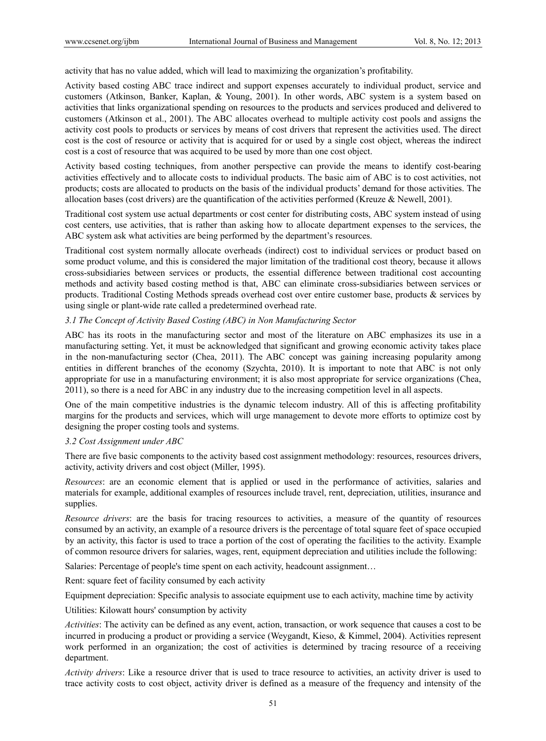activity that has no value added, which will lead to maximizing the organization's profitability.

Activity based costing ABC trace indirect and support expenses accurately to individual product, service and customers (Atkinson, Banker, Kaplan, & Young, 2001). In other words, ABC system is a system based on activities that links organizational spending on resources to the products and services produced and delivered to customers (Atkinson et al., 2001). The ABC allocates overhead to multiple activity cost pools and assigns the activity cost pools to products or services by means of cost drivers that represent the activities used. The direct cost is the cost of resource or activity that is acquired for or used by a single cost object, whereas the indirect cost is a cost of resource that was acquired to be used by more than one cost object.

Activity based costing techniques, from another perspective can provide the means to identify cost-bearing activities effectively and to allocate costs to individual products. The basic aim of ABC is to cost activities, not products; costs are allocated to products on the basis of the individual products' demand for those activities. The allocation bases (cost drivers) are the quantification of the activities performed (Kreuze & Newell, 2001).

Traditional cost system use actual departments or cost center for distributing costs, ABC system instead of using cost centers, use activities, that is rather than asking how to allocate department expenses to the services, the ABC system ask what activities are being performed by the department's resources.

Traditional cost system normally allocate overheads (indirect) cost to individual services or product based on some product volume, and this is considered the major limitation of the traditional cost theory, because it allows cross-subsidiaries between services or products, the essential difference between traditional cost accounting methods and activity based costing method is that, ABC can eliminate cross-subsidiaries between services or products. Traditional Costing Methods spreads overhead cost over entire customer base, products & services by using single or plant-wide rate called a predetermined overhead rate.

### *3.1 The Concept of Activity Based Costing (ABC) in Non Manufacturing Sector*

ABC has its roots in the manufacturing sector and most of the literature on ABC emphasizes its use in a manufacturing setting. Yet, it must be acknowledged that significant and growing economic activity takes place in the non-manufacturing sector (Chea, 2011). The ABC concept was gaining increasing popularity among entities in different branches of the economy (Szychta, 2010). It is important to note that ABC is not only appropriate for use in a manufacturing environment; it is also most appropriate for service organizations (Chea, 2011), so there is a need for ABC in any industry due to the increasing competition level in all aspects.

One of the main competitive industries is the dynamic telecom industry. All of this is affecting profitability margins for the products and services, which will urge management to devote more efforts to optimize cost by designing the proper costing tools and systems.

#### *3.2 Cost Assignment under ABC*

There are five basic components to the activity based cost assignment methodology: resources, resources drivers, activity, activity drivers and cost object (Miller, 1995).

*Resources*: are an economic element that is applied or used in the performance of activities, salaries and materials for example, additional examples of resources include travel, rent, depreciation, utilities, insurance and supplies.

*Resource drivers*: are the basis for tracing resources to activities, a measure of the quantity of resources consumed by an activity, an example of a resource drivers is the percentage of total square feet of space occupied by an activity, this factor is used to trace a portion of the cost of operating the facilities to the activity. Example of common resource drivers for salaries, wages, rent, equipment depreciation and utilities include the following:

Salaries: Percentage of people's time spent on each activity, headcount assignment…

Rent: square feet of facility consumed by each activity

Equipment depreciation: Specific analysis to associate equipment use to each activity, machine time by activity

Utilities: Kilowatt hours' consumption by activity

*Activities*: The activity can be defined as any event, action, transaction, or work sequence that causes a cost to be incurred in producing a product or providing a service (Weygandt, Kieso, & Kimmel, 2004). Activities represent work performed in an organization; the cost of activities is determined by tracing resource of a receiving department.

*Activity drivers*: Like a resource driver that is used to trace resource to activities, an activity driver is used to trace activity costs to cost object, activity driver is defined as a measure of the frequency and intensity of the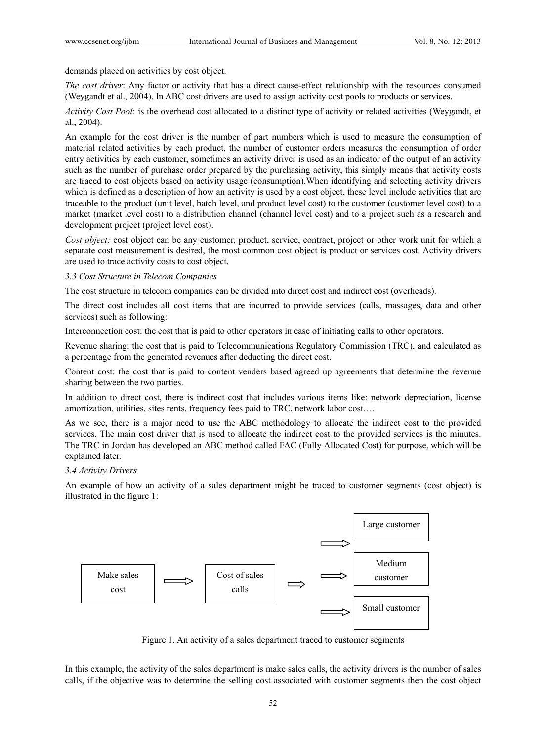demands placed on activities by cost object.

*The cost driver*: Any factor or activity that has a direct cause-effect relationship with the resources consumed (Weygandt et al., 2004). In ABC cost drivers are used to assign activity cost pools to products or services.

*Activity Cost Pool*: is the overhead cost allocated to a distinct type of activity or related activities (Weygandt, et al., 2004).

An example for the cost driver is the number of part numbers which is used to measure the consumption of material related activities by each product, the number of customer orders measures the consumption of order entry activities by each customer, sometimes an activity driver is used as an indicator of the output of an activity such as the number of purchase order prepared by the purchasing activity, this simply means that activity costs are traced to cost objects based on activity usage (consumption).When identifying and selecting activity drivers which is defined as a description of how an activity is used by a cost object, these level include activities that are traceable to the product (unit level, batch level, and product level cost) to the customer (customer level cost) to a market (market level cost) to a distribution channel (channel level cost) and to a project such as a research and development project (project level cost).

*Cost object;* cost object can be any customer, product, service, contract, project or other work unit for which a separate cost measurement is desired, the most common cost object is product or services cost. Activity drivers are used to trace activity costs to cost object.

#### *3.3 Cost Structure in Telecom Companies*

The cost structure in telecom companies can be divided into direct cost and indirect cost (overheads).

The direct cost includes all cost items that are incurred to provide services (calls, massages, data and other services) such as following:

Interconnection cost: the cost that is paid to other operators in case of initiating calls to other operators.

Revenue sharing: the cost that is paid to Telecommunications Regulatory Commission (TRC), and calculated as a percentage from the generated revenues after deducting the direct cost.

Content cost: the cost that is paid to content venders based agreed up agreements that determine the revenue sharing between the two parties.

In addition to direct cost, there is indirect cost that includes various items like: network depreciation, license amortization, utilities, sites rents, frequency fees paid to TRC, network labor cost….

As we see, there is a major need to use the ABC methodology to allocate the indirect cost to the provided services. The main cost driver that is used to allocate the indirect cost to the provided services is the minutes. The TRC in Jordan has developed an ABC method called FAC (Fully Allocated Cost) for purpose, which will be explained later.

#### *3.4 Activity Drivers*

An example of how an activity of a sales department might be traced to customer segments (cost object) is illustrated in the figure 1:



Figure 1. An activity of a sales department traced to customer segments

In this example, the activity of the sales department is make sales calls, the activity drivers is the number of sales calls, if the objective was to determine the selling cost associated with customer segments then the cost object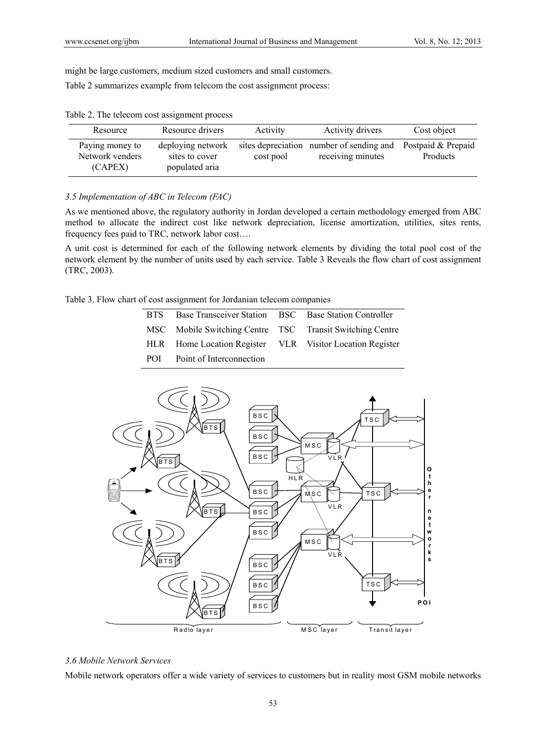might be large customers, medium sized customers and small customers.

Table 2 summarizes example from telecom the cost assignment process:

| Resource                                      | Resource drivers                                      | Activity  | Activity drivers                                              | Cost object                    |
|-----------------------------------------------|-------------------------------------------------------|-----------|---------------------------------------------------------------|--------------------------------|
| Paying money to<br>Network venders<br>(CAPEX) | deploying network<br>sites to cover<br>populated aria | cost pool | sites depreciation number of sending and<br>receiving minutes | Postpaid & Prepaid<br>Products |

Table 2. The telecom cost assignment process

#### *3.5 Implementation of ABC in Telecom (FAC)*

As we mentioned above, the regulatory authority in Jordan developed a certain methodology emerged from ABC method to allocate the indirect cost like network depreciation, license amortization, utilities, sites rents, frequency fees paid to TRC, network labor cost….

A unit cost is determined for each of the following network elements by dividing the total pool cost of the network element by the number of units used by each service. Table 3 Reveals the flow chart of cost assignment (TRC, 2003).

Table 3. Flow chart of cost assignment for Jordanian telecom companies

| <b>BTS</b> | Base Transceiver Station BSC Base Station Controller     |  |
|------------|----------------------------------------------------------|--|
|            | MSC Mobile Switching Centre TSC Transit Switching Centre |  |
|            | HLR Home Location Register VLR Visitor Location Register |  |
| POI —      | Point of Interconnection                                 |  |



# *3.6 Mobile Network Services*

Mobile network operators offer a wide variety of services to customers but in reality most GSM mobile networks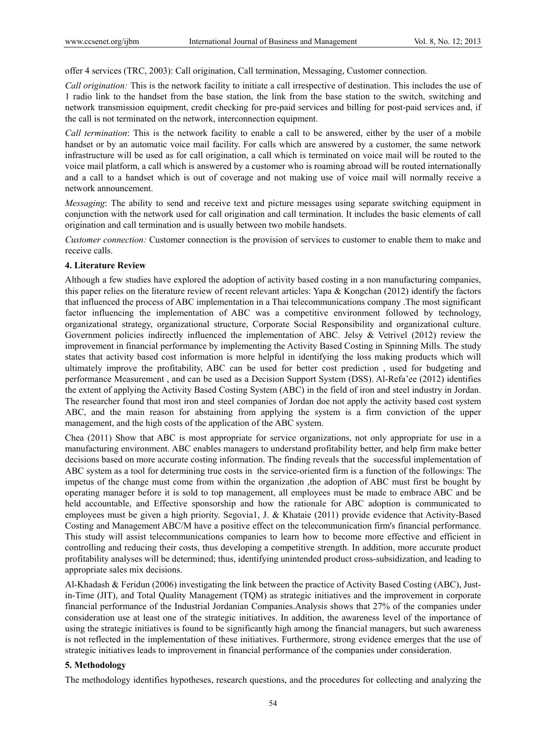offer 4 services (TRC, 2003): Call origination, Call termination, Messaging, Customer connection.

*Call origination:* This is the network facility to initiate a call irrespective of destination. This includes the use of 1 radio link to the handset from the base station, the link from the base station to the switch, switching and network transmission equipment, credit checking for pre-paid services and billing for post-paid services and, if the call is not terminated on the network, interconnection equipment.

*Call termination*: This is the network facility to enable a call to be answered, either by the user of a mobile handset or by an automatic voice mail facility. For calls which are answered by a customer, the same network infrastructure will be used as for call origination, a call which is terminated on voice mail will be routed to the voice mail platform, a call which is answered by a customer who is roaming abroad will be routed internationally and a call to a handset which is out of coverage and not making use of voice mail will normally receive a network announcement.

*Messaging*: The ability to send and receive text and picture messages using separate switching equipment in conjunction with the network used for call origination and call termination. It includes the basic elements of call origination and call termination and is usually between two mobile handsets.

*Customer connection:* Customer connection is the provision of services to customer to enable them to make and receive calls.

# **4. Literature Review**

Although a few studies have explored the adoption of activity based costing in a non manufacturing companies, this paper relies on the literature review of recent relevant articles: Yapa & Kongchan (2012) identify the factors that influenced the process of ABC implementation in a Thai telecommunications company .The most significant factor influencing the implementation of ABC was a competitive environment followed by technology, organizational strategy, organizational structure, Corporate Social Responsibility and organizational culture. Government policies indirectly influenced the implementation of ABC. Jelsy & Vetrivel (2012) review the improvement in financial performance by implementing the Activity Based Costing in Spinning Mills. The study states that activity based cost information is more helpful in identifying the loss making products which will ultimately improve the profitability, ABC can be used for better cost prediction , used for budgeting and performance Measurement , and can be used as a Decision Support System (DSS). Al-Refa'ee (2012) identifies the extent of applying the Activity Based Costing System (ABC) in the field of iron and steel industry in Jordan. The researcher found that most iron and steel companies of Jordan doe not apply the activity based cost system ABC, and the main reason for abstaining from applying the system is a firm conviction of the upper management, and the high costs of the application of the ABC system.

Chea (2011) Show that ABC is most appropriate for service organizations, not only appropriate for use in a manufacturing environment. ABC enables managers to understand profitability better, and help firm make better decisions based on more accurate costing information. The finding reveals that the successful implementation of ABC system as a tool for determining true costs in the service-oriented firm is a function of the followings: The impetus of the change must come from within the organization ,the adoption of ABC must first be bought by operating manager before it is sold to top management, all employees must be made to embrace ABC and be held accountable, and Effective sponsorship and how the rationale for ABC adoption is communicated to employees must be given a high priority. Segovia1, J. & Khataie (2011) provide evidence that Activity-Based Costing and Management ABC/M have a positive effect on the telecommunication firm's financial performance. This study will assist telecommunications companies to learn how to become more effective and efficient in controlling and reducing their costs, thus developing a competitive strength. In addition, more accurate product profitability analyses will be determined; thus, identifying unintended product cross-subsidization, and leading to appropriate sales mix decisions.

Al-Khadash & Feridun (2006) investigating the link between the practice of Activity Based Costing (ABC), Justin-Time (JIT), and Total Quality Management (TQM) as strategic initiatives and the improvement in corporate financial performance of the Industrial Jordanian Companies.Analysis shows that 27% of the companies under consideration use at least one of the strategic initiatives. In addition, the awareness level of the importance of using the strategic initiatives is found to be significantly high among the financial managers, but such awareness is not reflected in the implementation of these initiatives. Furthermore, strong evidence emerges that the use of strategic initiatives leads to improvement in financial performance of the companies under consideration.

# **5. Methodology**

The methodology identifies hypotheses, research questions, and the procedures for collecting and analyzing the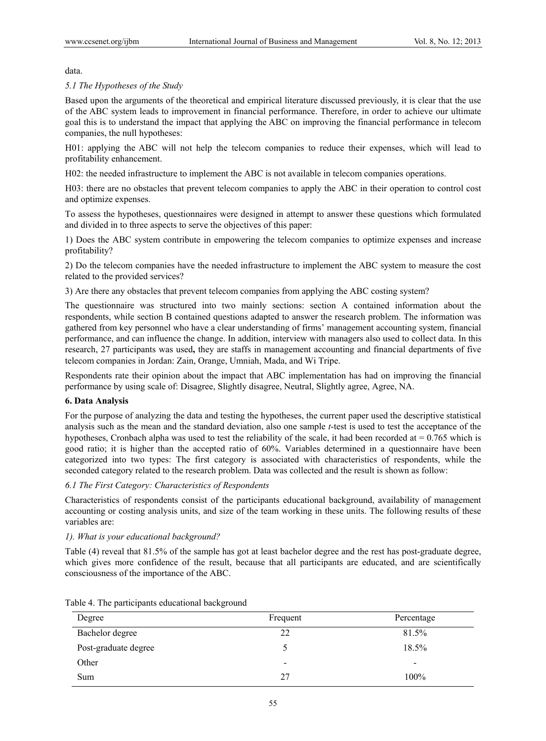data.

## *5.1 The Hypotheses of the Study*

Based upon the arguments of the theoretical and empirical literature discussed previously, it is clear that the use of the ABC system leads to improvement in financial performance. Therefore, in order to achieve our ultimate goal this is to understand the impact that applying the ABC on improving the financial performance in telecom companies, the null hypotheses:

H01: applying the ABC will not help the telecom companies to reduce their expenses, which will lead to profitability enhancement.

H02: the needed infrastructure to implement the ABC is not available in telecom companies operations.

H03: there are no obstacles that prevent telecom companies to apply the ABC in their operation to control cost and optimize expenses.

To assess the hypotheses, questionnaires were designed in attempt to answer these questions which formulated and divided in to three aspects to serve the objectives of this paper:

1) Does the ABC system contribute in empowering the telecom companies to optimize expenses and increase profitability?

2) Do the telecom companies have the needed infrastructure to implement the ABC system to measure the cost related to the provided services?

3) Are there any obstacles that prevent telecom companies from applying the ABC costing system?

The questionnaire was structured into two mainly sections: section A contained information about the respondents, while section B contained questions adapted to answer the research problem. The information was gathered from key personnel who have a clear understanding of firms' management accounting system, financial performance, and can influence the change. In addition, interview with managers also used to collect data. In this research, 27 participants was used**,** they are staffs in management accounting and financial departments of five telecom companies in Jordan: Zain, Orange, Umniah, Mada, and Wi Tripe.

Respondents rate their opinion about the impact that ABC implementation has had on improving the financial performance by using scale of: Disagree, Slightly disagree, Neutral, Slightly agree, Agree, NA.

#### **6. Data Analysis**

For the purpose of analyzing the data and testing the hypotheses, the current paper used the descriptive statistical analysis such as the mean and the standard deviation, also one sample *t*-test is used to test the acceptance of the hypotheses, Cronbach alpha was used to test the reliability of the scale, it had been recorded at  $= 0.765$  which is good ratio; it is higher than the accepted ratio of 60%. Variables determined in a questionnaire have been categorized into two types: The first category is associated with characteristics of respondents, while the seconded category related to the research problem. Data was collected and the result is shown as follow:

## *6.1 The First Category: Characteristics of Respondents*

Characteristics of respondents consist of the participants educational background, availability of management accounting or costing analysis units, and size of the team working in these units. The following results of these variables are:

#### *1). What is your educational background?*

Table (4) reveal that 81.5% of the sample has got at least bachelor degree and the rest has post-graduate degree, which gives more confidence of the result, because that all participants are educated, and are scientifically consciousness of the importance of the ABC.

| Degree               | Frequent                 | Percentage               |
|----------------------|--------------------------|--------------------------|
| Bachelor degree      | 22                       | 81.5%                    |
| Post-graduate degree |                          | 18.5%                    |
| Other                | $\overline{\phantom{a}}$ | $\overline{\phantom{a}}$ |
| Sum                  | 27                       | 100%                     |

Table 4. The participants educational background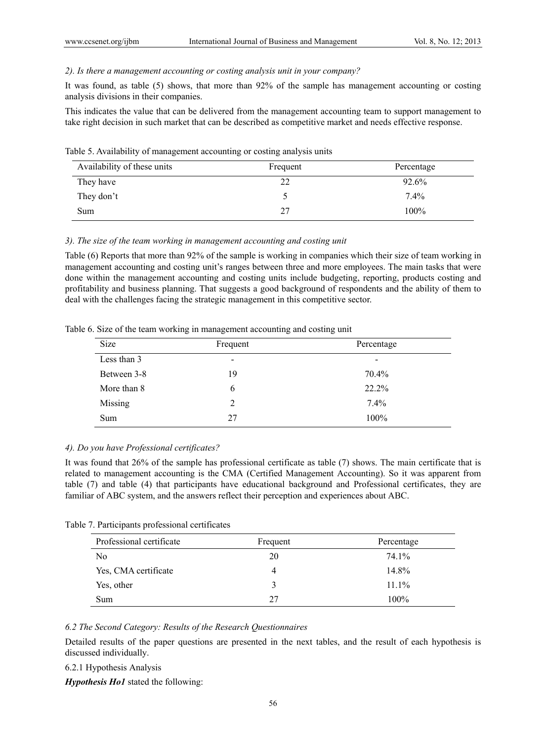# *2). Is there a management accounting or costing analysis unit in your company?*

It was found, as table (5) shows, that more than 92% of the sample has management accounting or costing analysis divisions in their companies.

This indicates the value that can be delivered from the management accounting team to support management to take right decision in such market that can be described as competitive market and needs effective response.

| Availability of these units | Frequent | Percentage |
|-----------------------------|----------|------------|
| They have                   | 22       | 92.6%      |
| They don't                  |          | 7.4%       |
| Sum                         | 27       | 100%       |

Table 5. Availability of management accounting or costing analysis units

#### *3). The size of the team working in management accounting and costing unit*

Table (6) Reports that more than 92% of the sample is working in companies which their size of team working in management accounting and costing unit's ranges between three and more employees. The main tasks that were done within the management accounting and costing units include budgeting, reporting, products costing and profitability and business planning. That suggests a good background of respondents and the ability of them to deal with the challenges facing the strategic management in this competitive sector.

Table 6. Size of the team working in management accounting and costing unit

| Size        | Frequent | Percentage |
|-------------|----------|------------|
| Less than 3 | -        | -          |
| Between 3-8 | 19       | 70.4%      |
| More than 8 | 6        | 22.2%      |
| Missing     | 2        | 7.4%       |
| Sum         | 27       | 100%       |

# *4). Do you have Professional certificates?*

It was found that 26% of the sample has professional certificate as table (7) shows. The main certificate that is related to management accounting is the CMA (Certified Management Accounting). So it was apparent from table (7) and table (4) that participants have educational background and Professional certificates, they are familiar of ABC system, and the answers reflect their perception and experiences about ABC.

| Professional certificate | Frequent | Percentage |
|--------------------------|----------|------------|
| No                       | 20       | 74.1%      |
| Yes, CMA certificate     | 4        | 14.8%      |
| Yes, other               | 3        | $11.1\%$   |
| Sum                      | 27       | 100%       |

Table 7. Participants professional certificates

#### *6.2 The Second Category: Results of the Research Questionnaires*

Detailed results of the paper questions are presented in the next tables, and the result of each hypothesis is discussed individually.

6.2.1 Hypothesis Analysis

*Hypothesis Ho1* stated the following: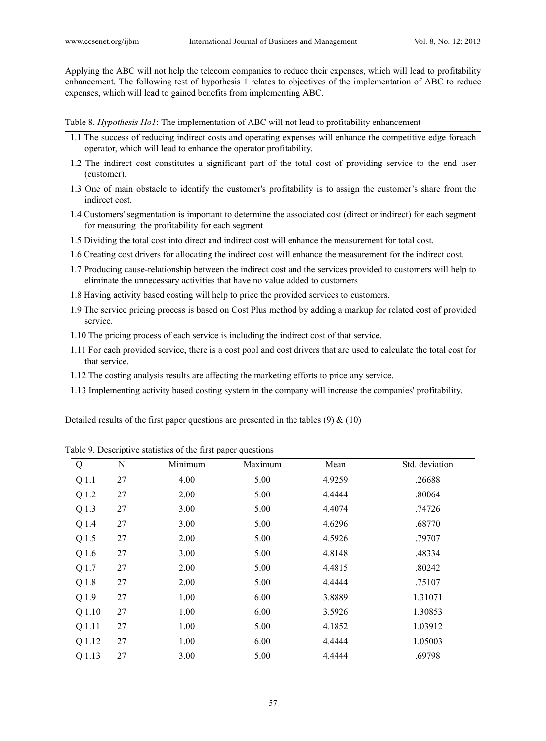Applying the ABC will not help the telecom companies to reduce their expenses, which will lead to profitability enhancement. The following test of hypothesis 1 relates to objectives of the implementation of ABC to reduce expenses, which will lead to gained benefits from implementing ABC.

Table 8. *Hypothesis Ho1*: The implementation of ABC will not lead to profitability enhancement

- 1.1 The success of reducing indirect costs and operating expenses will enhance the competitive edge foreach operator, which will lead to enhance the operator profitability.
- 1.2 The indirect cost constitutes a significant part of the total cost of providing service to the end user (customer).
- 1.3 One of main obstacle to identify the customer's profitability is to assign the customer's share from the indirect cost.
- 1.4 Customers' segmentation is important to determine the associated cost (direct or indirect) for each segment for measuring the profitability for each segment
- 1.5 Dividing the total cost into direct and indirect cost will enhance the measurement for total cost.
- 1.6 Creating cost drivers for allocating the indirect cost will enhance the measurement for the indirect cost.
- 1.7 Producing cause-relationship between the indirect cost and the services provided to customers will help to eliminate the unnecessary activities that have no value added to customers
- 1.8 Having activity based costing will help to price the provided services to customers.
- 1.9 The service pricing process is based on Cost Plus method by adding a markup for related cost of provided service.
- 1.10 The pricing process of each service is including the indirect cost of that service.
- 1.11 For each provided service, there is a cost pool and cost drivers that are used to calculate the total cost for that service.
- 1.12 The costing analysis results are affecting the marketing efforts to price any service.
- 1.13 Implementing activity based costing system in the company will increase the companies' profitability.

Detailed results of the first paper questions are presented in the tables  $(9) \& (10)$ 

| Q      | N  | Minimum | Maximum | Mean   | Std. deviation |
|--------|----|---------|---------|--------|----------------|
| Q 1.1  | 27 | 4.00    | 5.00    | 4.9259 | .26688         |
| Q 1.2  | 27 | 2.00    | 5.00    | 4.4444 | .80064         |
| Q 1.3  | 27 | 3.00    | 5.00    | 4.4074 | .74726         |
| Q 1.4  | 27 | 3.00    | 5.00    | 4.6296 | .68770         |
| Q 1.5  | 27 | 2.00    | 5.00    | 4.5926 | .79707         |
| Q 1.6  | 27 | 3.00    | 5.00    | 4.8148 | .48334         |
| Q 1.7  | 27 | 2.00    | 5.00    | 4.4815 | .80242         |
| Q 1.8  | 27 | 2.00    | 5.00    | 4.4444 | .75107         |
| Q 1.9  | 27 | 1.00    | 6.00    | 3.8889 | 1.31071        |
| Q 1.10 | 27 | 1.00    | 6.00    | 3.5926 | 1.30853        |
| Q 1.11 | 27 | 1.00    | 5.00    | 4.1852 | 1.03912        |
| Q 1.12 | 27 | 1.00    | 6.00    | 4.4444 | 1.05003        |
| Q 1.13 | 27 | 3.00    | 5.00    | 4.4444 | .69798         |

Table 9. Descriptive statistics of the first paper questions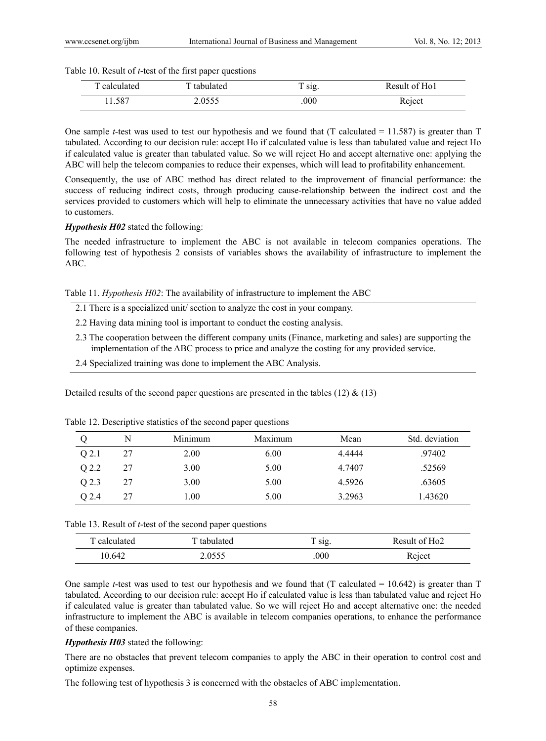|  |  |  |  | Table 10. Result of <i>t</i> -test of the first paper questions |  |
|--|--|--|--|-----------------------------------------------------------------|--|
|--|--|--|--|-----------------------------------------------------------------|--|

| T calculated | tabulated | T sig. | Result of Ho1 |
|--------------|-----------|--------|---------------|
| 587          | 2.0555    | .000   | Reject        |

One sample *t*-test was used to test our hypothesis and we found that (T calculated  $= 11.587$ ) is greater than T tabulated. According to our decision rule: accept Ho if calculated value is less than tabulated value and reject Ho if calculated value is greater than tabulated value. So we will reject Ho and accept alternative one: applying the ABC will help the telecom companies to reduce their expenses, which will lead to profitability enhancement.

Consequently, the use of ABC method has direct related to the improvement of financial performance: the success of reducing indirect costs, through producing cause-relationship between the indirect cost and the services provided to customers which will help to eliminate the unnecessary activities that have no value added to customers.

#### *Hypothesis H02* stated the following:

The needed infrastructure to implement the ABC is not available in telecom companies operations. The following test of hypothesis 2 consists of variables shows the availability of infrastructure to implement the ABC.

Table 11. *Hypothesis H02*: The availability of infrastructure to implement the ABC

- 2.1 There is a specialized unit/ section to analyze the cost in your company.
- 2.2 Having data mining tool is important to conduct the costing analysis.
- 2.3 The cooperation between the different company units (Finance, marketing and sales) are supporting the implementation of the ABC process to price and analyze the costing for any provided service.
- 2.4 Specialized training was done to implement the ABC Analysis.

Detailed results of the second paper questions are presented in the tables (12)  $\&$  (13)

|       | N  | Minimum | Maximum | Mean   | Std. deviation |
|-------|----|---------|---------|--------|----------------|
| Q 2.1 | 27 | 2.00    | 6.00    | 4.4444 | .97402         |
| Q 2.2 | 27 | 3.00    | 5.00    | 4.7407 | .52569         |
| Q 2.3 | 27 | 3.00    | 5.00    | 4.5926 | .63605         |
| Q 2.4 | 27 | 1.00    | 5.00    | 3.2963 | 1.43620        |

Table 12. Descriptive statistics of the second paper questions

|  | Table 13. Result of <i>t</i> -test of the second paper questions |  |  |  |  |  |
|--|------------------------------------------------------------------|--|--|--|--|--|
|--|------------------------------------------------------------------|--|--|--|--|--|

| calculated | tabulated | $\tau$ sig. | Result of Ho <sub>2</sub> |
|------------|-----------|-------------|---------------------------|
| 10.642     | 2.0555    | .000        | Reject                    |

One sample *t*-test was used to test our hypothesis and we found that (T calculated  $= 10.642$ ) is greater than T tabulated. According to our decision rule: accept Ho if calculated value is less than tabulated value and reject Ho if calculated value is greater than tabulated value. So we will reject Ho and accept alternative one: the needed infrastructure to implement the ABC is available in telecom companies operations, to enhance the performance of these companies.

# *Hypothesis H03* stated the following:

There are no obstacles that prevent telecom companies to apply the ABC in their operation to control cost and optimize expenses.

The following test of hypothesis 3 is concerned with the obstacles of ABC implementation.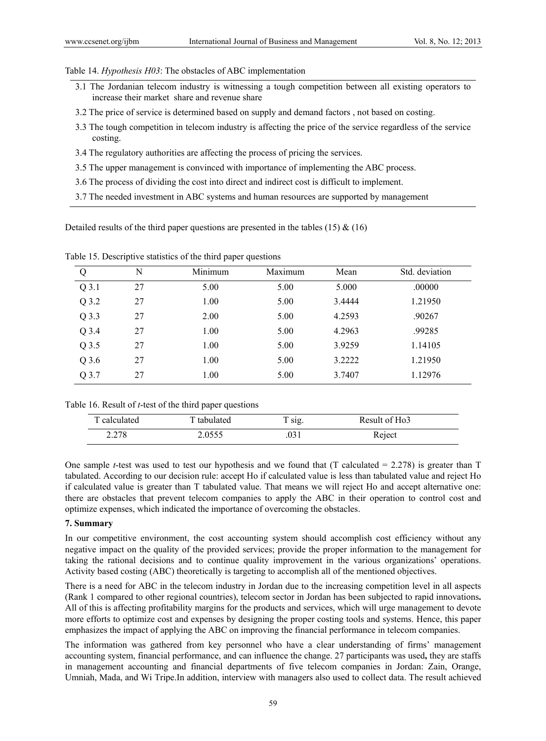Table 14. *Hypothesis H03*: The obstacles of ABC implementation

- 3.1 The Jordanian telecom industry is witnessing a tough competition between all existing operators to increase their market share and revenue share
- 3.2 The price of service is determined based on supply and demand factors , not based on costing.
- 3.3 The tough competition in telecom industry is affecting the price of the service regardless of the service costing.
- 3.4 The regulatory authorities are affecting the process of pricing the services.
- 3.5 The upper management is convinced with importance of implementing the ABC process.
- 3.6 The process of dividing the cost into direct and indirect cost is difficult to implement.
- 3.7 The needed investment in ABC systems and human resources are supported by management

Detailed results of the third paper questions are presented in the tables (15)  $\&$  (16)

| Q     | N  | Minimum | Maximum | Mean   | Std. deviation |
|-------|----|---------|---------|--------|----------------|
| Q 3.1 | 27 | 5.00    | 5.00    | 5.000  | .00000         |
| Q 3.2 | 27 | 1.00    | 5.00    | 3.4444 | 1.21950        |
| Q 3.3 | 27 | 2.00    | 5.00    | 4.2593 | .90267         |
| Q 3.4 | 27 | 1.00    | 5.00    | 4.2963 | .99285         |
| Q 3.5 | 27 | 1.00    | 5.00    | 3.9259 | 1.14105        |
| Q 3.6 | 27 | 1.00    | 5.00    | 3.2222 | 1.21950        |
| Q 3.7 | 27 | 1.00    | 5.00    | 3.7407 | 1.12976        |

Table 15. Descriptive statistics of the third paper questions

## Table 16. Result of *t*-test of the third paper questions

| T calculated | T tabulated | $T$ sig. | Result of Ho <sub>3</sub> |
|--------------|-------------|----------|---------------------------|
| 2.278        | 2.0555      | 031      | Reject                    |

One sample *t*-test was used to test our hypothesis and we found that (T calculated = 2.278) is greater than T tabulated. According to our decision rule: accept Ho if calculated value is less than tabulated value and reject Ho if calculated value is greater than T tabulated value. That means we will reject Ho and accept alternative one: there are obstacles that prevent telecom companies to apply the ABC in their operation to control cost and optimize expenses, which indicated the importance of overcoming the obstacles.

## **7. Summary**

In our competitive environment, the cost accounting system should accomplish cost efficiency without any negative impact on the quality of the provided services; provide the proper information to the management for taking the rational decisions and to continue quality improvement in the various organizations' operations. Activity based costing (ABC) theoretically is targeting to accomplish all of the mentioned objectives.

There is a need for ABC in the telecom industry in Jordan due to the increasing competition level in all aspects (Rank 1 compared to other regional countries), telecom sector in Jordan has been subjected to rapid innovations**.**  All of this is affecting profitability margins for the products and services, which will urge management to devote more efforts to optimize cost and expenses by designing the proper costing tools and systems. Hence, this paper emphasizes the impact of applying the ABC on improving the financial performance in telecom companies.

The information was gathered from key personnel who have a clear understanding of firms' management accounting system, financial performance, and can influence the change. 27 participants was used**,** they are staffs in management accounting and financial departments of five telecom companies in Jordan: Zain, Orange, Umniah, Mada, and Wi Tripe.In addition, interview with managers also used to collect data. The result achieved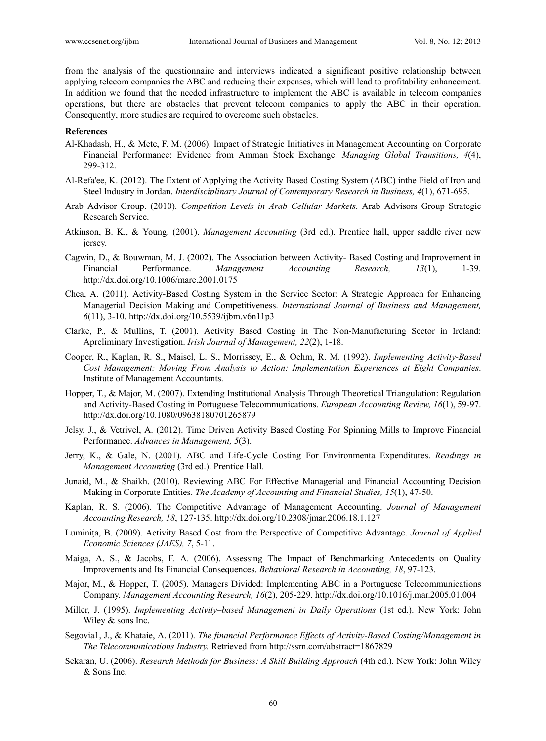from the analysis of the questionnaire and interviews indicated a significant positive relationship between applying telecom companies the ABC and reducing their expenses, which will lead to profitability enhancement. In addition we found that the needed infrastructure to implement the ABC is available in telecom companies operations, but there are obstacles that prevent telecom companies to apply the ABC in their operation. Consequently, more studies are required to overcome such obstacles.

## **References**

- Al-Khadash, H., & Mete, F. M. (2006). Impact of Strategic Initiatives in Management Accounting on Corporate Financial Performance: Evidence from Amman Stock Exchange. *Managing Global Transitions, 4*(4), 299-312.
- Al-Refa'ee, K. (2012). The Extent of Applying the Activity Based Costing System (ABC) inthe Field of Iron and Steel Industry in Jordan. *Interdisciplinary Journal of Contemporary Research in Business, 4*(1), 671-695.
- Arab Advisor Group. (2010). *Competition Levels in Arab Cellular Markets*. Arab Advisors Group Strategic Research Service.
- Atkinson, B. K., & Young. (2001). *Management Accounting* (3rd ed.). Prentice hall, upper saddle river new jersey.
- Cagwin, D., & Bouwman, M. J. (2002). The Association between Activity- Based Costing and Improvement in Financial Performance. *Management Accounting Research, 13*(1), 1-39. http://dx.doi.org/10.1006/mare.2001.0175
- Chea, A. (2011). Activity-Based Costing System in the Service Sector: A Strategic Approach for Enhancing Managerial Decision Making and Competitiveness. *International Journal of Business and Management, 6*(11), 3-10. http://dx.doi.org/10.5539/ijbm.v6n11p3
- Clarke, P., & Mullins, T. (2001). Activity Based Costing in The Non-Manufacturing Sector in Ireland: Apreliminary Investigation. *Irish Journal of Management, 22*(2), 1-18.
- Cooper, R., Kaplan, R. S., Maisel, L. S., Morrissey, E., & Oehm, R. M. (1992). *Implementing Activity-Based Cost Management: Moving From Analysis to Action: Implementation Experiences at Eight Companies*. Institute of Management Accountants.
- Hopper, T., & Major, M. (2007). Extending Institutional Analysis Through Theoretical Triangulation: Regulation and Activity-Based Costing in Portuguese Telecommunications. *European Accounting Review, 16*(1), 59-97. http://dx.doi.org/10.1080/09638180701265879
- Jelsy, J., & Vetrivel, A. (2012). Time Driven Activity Based Costing For Spinning Mills to Improve Financial Performance. *Advances in Management, 5*(3).
- Jerry, K., & Gale, N. (2001). ABC and Life-Cycle Costing For Environmenta Expenditures. *Readings in Management Accounting* (3rd ed.). Prentice Hall.
- Junaid, M., & Shaikh. (2010). Reviewing ABC For Effective Managerial and Financial Accounting Decision Making in Corporate Entities. *The Academy of Accounting and Financial Studies, 15*(1), 47-50.
- Kaplan, R. S. (2006). The Competitive Advantage of Management Accounting. *Journal of Management Accounting Research, 18*, 127-135. http://dx.doi.org/10.2308/jmar.2006.18.1.127
- Luminiţa, B. (2009). Activity Based Cost from the Perspective of Competitive Advantage. *Journal of Applied Economic Sciences (JAES), 7*, 5-11.
- Maiga, A. S., & Jacobs, F. A. (2006). Assessing The Impact of Benchmarking Antecedents on Quality Improvements and Its Financial Consequences. *Behavioral Research in Accounting, 18*, 97-123.
- Major, M., & Hopper, T. (2005). Managers Divided: Implementing ABC in a Portuguese Telecommunications Company. *Management Accounting Research, 16*(2), 205-229. http://dx.doi.org/10.1016/j.mar.2005.01.004
- Miller, J. (1995). *Implementing Activity–based Management in Daily Operations* (1st ed.). New York: John Wiley & sons Inc.
- Segovia1, J., & Khataie, A. (2011). *The financial Performance Effects of Activity-Based Costing/Management in The Telecommunications Industry.* Retrieved from http://ssrn.com/abstract=1867829
- Sekaran, U. (2006). *Research Methods for Business: A Skill Building Approach* (4th ed.). New York: John Wiley & Sons Inc.